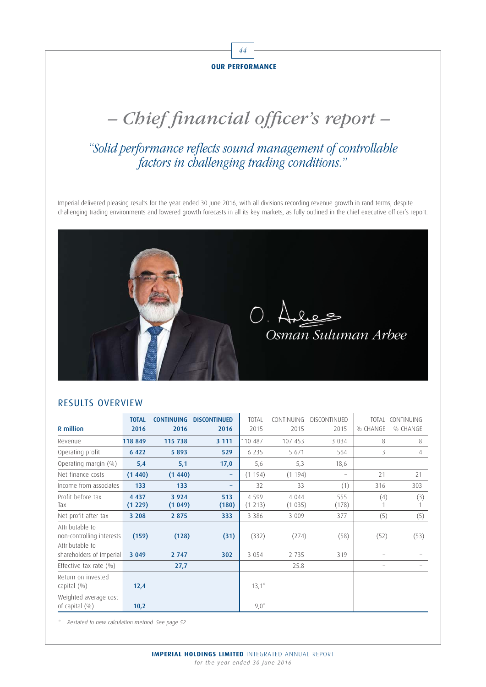

# – Chief financial officer's report –

# "Solid performance reflects sound management of controllable factors in challenging trading conditions."

Imperial delivered pleasing results for the year ended 30 June 2016, with all divisions recording revenue growth in rand terms, despite challenging trading environments and lowered growth forecasts in all its key markets, as fully outlined in the chief executive officer's report.



#### RESULTS OVERVIEW

| <b>R</b> million                                                   | <b>TOTAL</b><br>2016 | <b>CONTINUING</b><br>2016 | <b>DISCONTINUED</b><br>2016 | <b>TOTAL</b><br>2015 | CONTINUING<br>2015 | DISCONTINUED<br>2015     | <b>TOTAL</b><br>% CHANGE | CONTINUING<br>% CHANGE |
|--------------------------------------------------------------------|----------------------|---------------------------|-----------------------------|----------------------|--------------------|--------------------------|--------------------------|------------------------|
| Revenue                                                            | 118 849              | 115 738                   | 3 1 1 1                     | 110 487              | 107 453            | 3 0 3 4                  | 8                        | 8                      |
| Operating profit                                                   | 6 4 2 2              | 5893                      | 529                         | 6 2 3 5              | 5 671              | 564                      | 3                        | 4                      |
| Operating margin (%)                                               | 5,4                  | 5,1                       | 17,0                        | 5,6                  | 5,3                | 18,6                     |                          |                        |
| Net finance costs                                                  | (1440)               | (1440)                    | -                           | (1194)               | (1194)             | $\overline{\phantom{0}}$ | 21                       | 21                     |
| Income from associates                                             | 133                  | 133                       | -                           | 32                   | 33                 | (1)                      | 316                      | 303                    |
| Profit before tax<br>Tax                                           | 4 4 3 7<br>(1 229)   | 3 9 2 4<br>(1049)         | 513<br>(180)                | 4 5 9 9<br>(1213)    | 4 0 4 4<br>(1035)  | 555<br>(178)             | (4)                      | (3)                    |
| Net profit after tax                                               | 3 2 0 8              | 2 8 7 5                   | 333                         | 3 3 8 6              | 3 0 0 9            | 377                      | (5)                      | (5)                    |
| Attributable to<br>non-controlling interests<br>Attributable to    | (159)                | (128)                     | (31)                        | (332)                | (274)              | (58)                     | (52)                     | (53)                   |
| shareholders of Imperial                                           | 3 0 4 9              | 2 7 4 7                   | 302                         | 3 0 5 4              | 2 7 3 5            | 319                      |                          |                        |
| Effective tax rate $(\% )$<br>Return on invested<br>capital $(\%)$ | 12,4                 | 27,7                      |                             | $13,1^*$             | 25.8               |                          |                          |                        |
| Weighted average cost<br>of capital $(\% )$                        | 10,2                 |                           |                             | $9,0^*$              |                    |                          |                          |                        |

Restated to new calculation method. See page 52.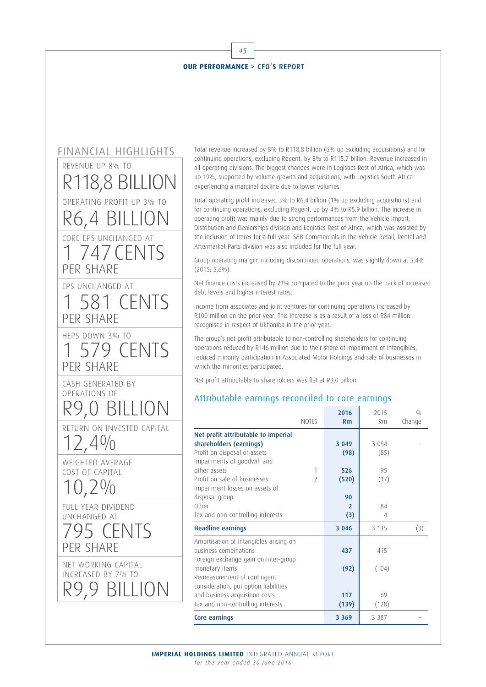



Total revenue increased by 8% to R118,8 billion (6% up excluding acquisitions) and for continuing operations, excluding Regent, by 8% to R115,7 billion. Revenue increased in all operating divisions. The biggest changes were in Logistics Rest of Africa, which was up 19%, supported by volume growth and acquisitions, with Logistics South Africa experiencing a marginal decline due to lower volumes.

Total operating profit increased 3% to R6,4 billion (1% up excluding acquisitions) and for continuing operations, excluding Regent, up by 4% to R5,9 billion. The increase in operating profit was mainly due to strong performances from the Vehicle Import, Distribution and Dealerships division and Logistics Rest of Africa, which was assisted by the inclusion of Imres for a full year. S&B Commercials in the Vehicle Retail, Rental and Aftermarket Parts division was also included for the full year.

Group operating margin, including discontinued operations, was slightly down at 5,4% (2015: 5,6%).

Net finance costs increased by 21% compared to the prior year on the back of increased debt levels and higher interest rates.

Income from associates and joint ventures for continuing operations increased by R100 million on the prior year. This increase is as a result of a loss of R84 million recognised in respect of Ukhamba in the prior year.

The group's net profit attributable to non-controlling shareholders for continuing operations reduced by R146 million due to their share of impairment of intangibles, reduced minority participation in Associated Motor Holdings and sale of businesses in which the minorities participated.

Net profit attributable to shareholders was flat at R3,0 billion.

#### Attributable earnings reconciled to core earnings

|                                        |                          | 2016           | 2015    | 0/0    |
|----------------------------------------|--------------------------|----------------|---------|--------|
|                                        | <b>NOTES</b>             | Rm             | Rm      | Change |
| Net profit attributable to Imperial    |                          |                |         |        |
| shareholders (earnings)                |                          | 3 0 4 9        | 3 0 5 4 |        |
| Profit on disposal of assets           |                          | (98)           | (85)    |        |
| Impairments of goodwill and            |                          |                |         |        |
| other assets                           | 1                        | 526            | 95      |        |
| Profit on sale of businesses           | $\overline{\phantom{a}}$ | (520)          | (17)    |        |
| Impairment losses on assets of         |                          |                |         |        |
| disposal group                         |                          | 90             |         |        |
| Other                                  |                          | $\overline{2}$ | 84      |        |
| Tax and non-controlling interests      |                          | (3)            | 4       |        |
| <b>Headline earnings</b>               |                          | 3 0 4 6        | 3 1 3 5 | (3)    |
| Amortisation of intangibles arising on |                          |                |         |        |
| business combinations                  |                          | 437            | 415     |        |
| Foreign exchange gain on inter-group   |                          |                |         |        |
| monetary items                         |                          | (92)           | (104)   |        |
| Remeasurement of contingent            |                          |                |         |        |
| consideration, put option liabilities  |                          |                |         |        |
| and business acquisition costs         |                          | 117            | 69      |        |
| Tax and non-controlling interests      |                          | (139)          | (128)   |        |
| Core earnings                          |                          | 3 3 6 9        | 3 3 8 7 |        |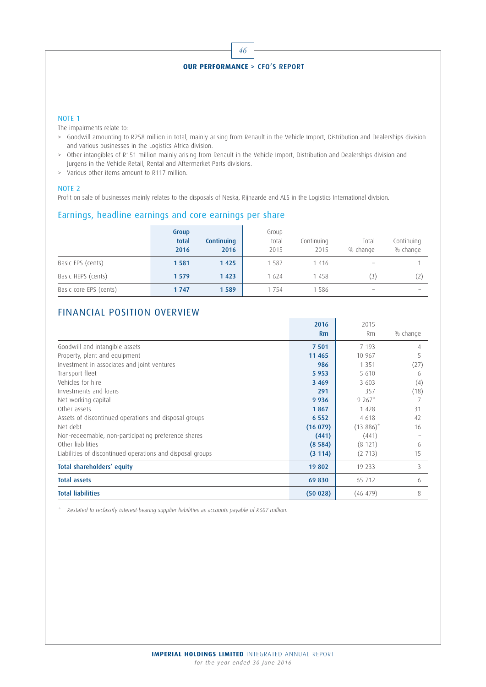# 46 **OUR PERFORMANCE** > CFO'S REPORT

#### NOTE 1

The impairments relate to:

- > Goodwill amounting to R258 million in total, mainly arising from Renault in the Vehicle Import, Distribution and Dealerships division and various businesses in the Logistics Africa division.
- > Other intangibles of R151 million mainly arising from Renault in the Vehicle Import, Distribution and Dealerships division and Jurgens in the Vehicle Retail, Rental and Aftermarket Parts divisions.
- > Various other items amount to R117 million.

#### NOTE 2

Profit on sale of businesses mainly relates to the disposals of Neska, Rijnaarde and ALS in the Logistics International division.

#### Earnings, headline earnings and core earnings per share

|                        | Group<br>total<br>2016 | Continuing<br>2016 | Group<br>total<br>2015 | Continuing<br>2015 | Total<br>% change        | Continuing<br>% change |
|------------------------|------------------------|--------------------|------------------------|--------------------|--------------------------|------------------------|
| Basic EPS (cents)      | 1 5 8 1                | 1425               | 582                    | 416                |                          |                        |
| Basic HEPS (cents)     | 1 5 7 9                | 1 4 2 3            | 1624                   | 1458               | (3)                      |                        |
| Basic core EPS (cents) | 1747                   | 1589               | i 754                  | -586               | $\overline{\phantom{a}}$ |                        |

#### FINANCIAL POSITION OVERVIEW

|                                                            | 2016    | 2015        |          |
|------------------------------------------------------------|---------|-------------|----------|
|                                                            | Rm      | Rm          | % change |
| Goodwill and intangible assets                             | 7 5 0 1 | 7 193       | 4        |
| Property, plant and equipment                              | 11 4 65 | 10 967      | 5        |
| Investment in associates and joint ventures                | 986     | 1 3 5 1     | (27)     |
| Transport fleet                                            | 5 9 5 3 | 5 6 1 0     | 6        |
| Vehicles for hire                                          | 3 4 6 9 | 3 603       | (4)      |
| Investments and loans                                      | 291     | 357         | (18)     |
| Net working capital                                        | 9 9 3 6 | $9267*$     |          |
| Other assets                                               | 1867    | 1 4 2 8     | 31       |
| Assets of discontinued operations and disposal groups      | 6 5 5 2 | 4 6 1 8     | 42       |
| Net debt                                                   | (16079) | $(13886)^*$ | 16       |
| Non-redeemable, non-participating preference shares        | (441)   | (441)       |          |
| Other liabilities                                          | (8584)  | (8121)      | 6        |
| Liabilities of discontinued operations and disposal groups | (3114)  | (2713)      | 15       |
| Total shareholders' equity                                 | 19 802  | 19 233      | 3        |
| <b>Total assets</b>                                        | 69 830  | 65 712      | 6        |
| <b>Total liabilities</b>                                   | (50028) | (46 479)    | 8        |

Restated to reclassify interest-bearing supplier liabilities as accounts payable of R607 million.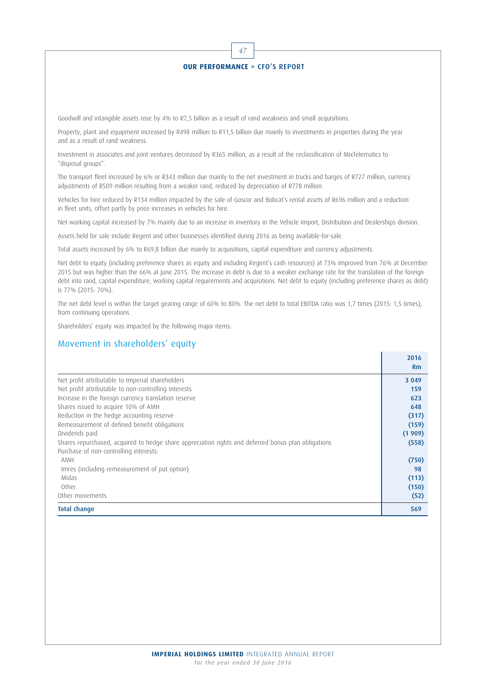

Investment in associates and joint ventures decreased by R365 million, as a result of the reclassification of MixTelematics to "disposal groups".

The transport fleet increased by 6% or R343 million due mainly to the net investment in trucks and barges of R727 million, currency adjustments of R509 million resulting from a weaker rand, reduced by depreciation of R778 million.

Vehicles for hire reduced by R134 million impacted by the sale of Goscor and Bobcat's rental assets of R696 million and a reduction in fleet units, offset partly by price increases in vehicles for hire.

Net working capital increased by 7% mainly due to an increase in inventory in the Vehicle Import, Distribution and Dealerships division.

Assets held for sale include Regent and other businesses identified during 2016 as being available-for-sale.

Total assets increased by 6% to R69,8 billion due mainly to acquisitions, capital expenditure and currency adjustments.

Net debt to equity (including preference shares as equity and including Regent's cash resources) at 73% improved from 76% at December 2015 but was higher than the 66% at June 2015. The increase in debt is due to a weaker exchange rate for the translation of the foreign debt into rand, capital expenditure, working capital requirements and acquisitions. Net debt to equity (including preference shares as debt) is 77% (2015: 70%).

The net debt level is within the target gearing range of 60% to 80%. The net debt to total EBITDA ratio was 1,7 times (2015: 1,5 times), from continuing operations.

Shareholders' equity was impacted by the following major items:

#### Movement in shareholders' equity

|                                                                                                     | 2016<br>Rm |
|-----------------------------------------------------------------------------------------------------|------------|
| Net profit attributable to Imperial shareholders                                                    | 3 0 4 9    |
| Net profit attributable to non-controlling interests                                                | 159        |
| Increase in the foreign currency translation reserve                                                | 623        |
| Shares issued to acquire 10% of AMH                                                                 | 648        |
| Reduction in the hedge accounting reserve                                                           | (317)      |
| Remeasurement of defined benefit obligations                                                        | (159)      |
| Dividends paid                                                                                      | (1909)     |
| Shares repurchased, acquired to hedge share appreciation rights and deferred bonus plan obligations | (558)      |
| Purchase of non-controlling interests:                                                              |            |
| AMH                                                                                                 | (750)      |
| Imres (including remeasurement of put option)                                                       | 98         |
| Midas                                                                                               | (113)      |
| Other                                                                                               | (150)      |
| Other movements                                                                                     | (52)       |
| <b>Total change</b>                                                                                 | 569        |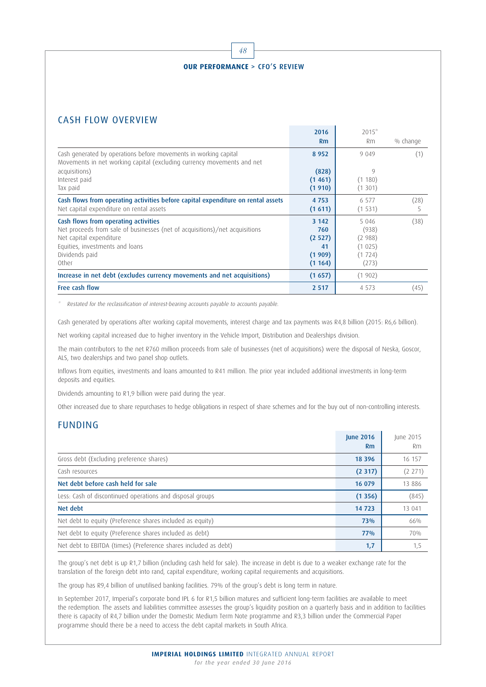# 48 **OUR PERFORMANCE** > CFO'S REVIEW

## CASH FLOW OVERVIEW

|                                                                                                                                                                                                              | 2016                                                | $2015*$                                                 |           |
|--------------------------------------------------------------------------------------------------------------------------------------------------------------------------------------------------------------|-----------------------------------------------------|---------------------------------------------------------|-----------|
|                                                                                                                                                                                                              | Rm                                                  | <b>Rm</b>                                               | % change  |
| Cash generated by operations before movements in working capital<br>Movements in net working capital (excluding currency movements and net                                                                   | 8 9 5 2                                             | 9 0 4 9                                                 | (1)       |
| acquisitions)<br>Interest paid<br>Tax paid                                                                                                                                                                   | (828)<br>(1461)<br>(1910)                           | 9<br>(1180)<br>(1301)                                   |           |
| Cash flows from operating activities before capital expenditure on rental assets<br>Net capital expenditure on rental assets                                                                                 | 4 7 5 3<br>(1611)                                   | 6 5 7 7<br>(1531)                                       | (28)<br>5 |
| Cash flows from operating activities<br>Net proceeds from sale of businesses (net of acquisitions)/net acquisitions<br>Net capital expenditure<br>Equities, investments and loans<br>Dividends paid<br>Other | 3 1 4 2<br>760<br>(2 527)<br>41<br>(1909)<br>(1164) | 5 0 4 6<br>(938)<br>(2988)<br>(1025)<br>(1724)<br>(273) | (38)      |
| Increase in net debt (excludes currency movements and net acquisitions)                                                                                                                                      | (1657)                                              | (1902)                                                  |           |
| Free cash flow                                                                                                                                                                                               | 2 5 1 7                                             | 4 5 7 3                                                 | (45)      |

\* Restated for the reclassification of interest-bearing accounts payable to accounts payable.

Cash generated by operations after working capital movements, interest charge and tax payments was R4,8 billion (2015: R6,6 billion).

Net working capital increased due to higher inventory in the Vehicle Import, Distribution and Dealerships division.

The main contributors to the net R760 million proceeds from sale of businesses (net of acquisitions) were the disposal of Neska, Goscor, ALS, two dealerships and two panel shop outlets.

Inflows from equities, investments and loans amounted to R41 million. The prior year included additional investments in long-term deposits and equities.

Dividends amounting to R1,9 billion were paid during the year.

Other increased due to share repurchases to hedge obligations in respect of share schemes and for the buy out of non-controlling interests.

## FUNDING

|                                                                 | <b>June 2016</b><br><b>Rm</b> | June 2015<br>Rm. |
|-----------------------------------------------------------------|-------------------------------|------------------|
| Gross debt (Excluding preference shares)                        | 18 3 9 6                      | 16 157           |
| Cash resources                                                  | (2317)                        | (2 271)          |
| Net debt before cash held for sale                              | 16 079                        | 13 8 8 6         |
| Less: Cash of discontinued operations and disposal groups       | (1356)                        | (845)            |
| Net debt                                                        | 14 723                        | 13 041           |
| Net debt to equity (Preference shares included as equity)       | 73%                           | 66%              |
| Net debt to equity (Preference shares included as debt)         | 77%                           | 70%              |
| Net debt to EBITDA (times) (Preference shares included as debt) | 1,7                           | 1,5              |

The group's net debt is up R1,7 billion (including cash held for sale). The increase in debt is due to a weaker exchange rate for the translation of the foreign debt into rand, capital expenditure, working capital requirements and acquisitions.

The group has R9,4 billion of unutilised banking facilities. 79% of the group's debt is long term in nature.

In September 2017, Imperial's corporate bond IPL 6 for R1,5 billion matures and sufficient long-term facilities are available to meet the redemption. The assets and liabilities committee assesses the group's liquidity position on a quarterly basis and in addition to facilities there is capacity of R4,7 billion under the Domestic Medium Term Note programme and R3,3 billion under the Commercial Paper programme should there be a need to access the debt capital markets in South Africa.